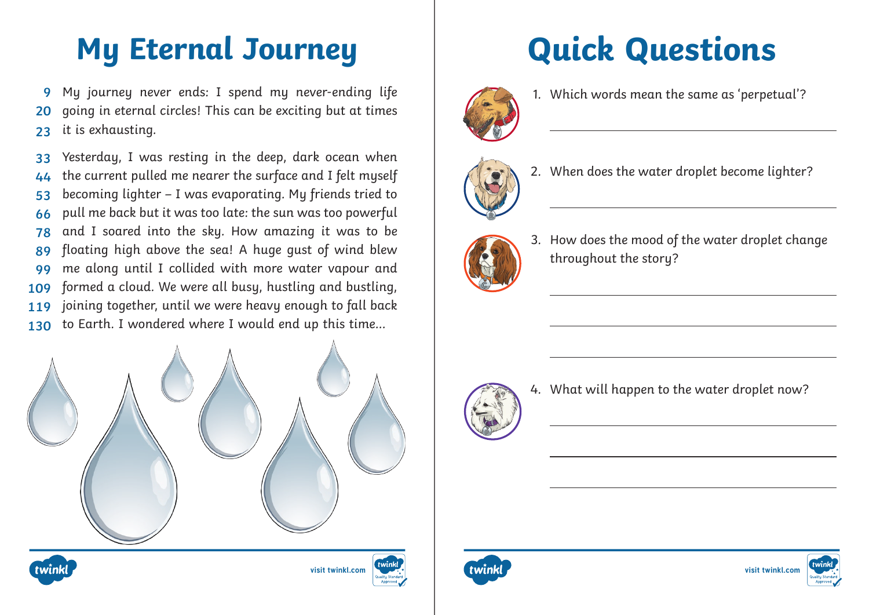## **My Eternal Journey Quick Questions**

My journey never ends: I spend my never-ending life going in eternal circles! This can be exciting but at times it is exhausting. **9 20 23**

Yesterday, I was resting in the deep, dark ocean when the current pulled me nearer the surface and I felt myself becoming lighter – I was evaporating. My friends tried to pull me back but it was too late: the sun was too powerful and I soared into the sky. How amazing it was to be floating high above the sea! A huge gust of wind blew me along until I collided with more water vapour and formed a cloud. We were all busy, hustling and bustling, joining together, until we were heavy enough to fall back to Earth. I wondered where I would end up this time… **33 44 53 66 78 89 99 109 119 130**









1. Which words mean the same as 'perpetual'?



2. When does the water droplet become lighter?



3. How does the mood of the water droplet change throughout the story?



4. What will happen to the water droplet now?